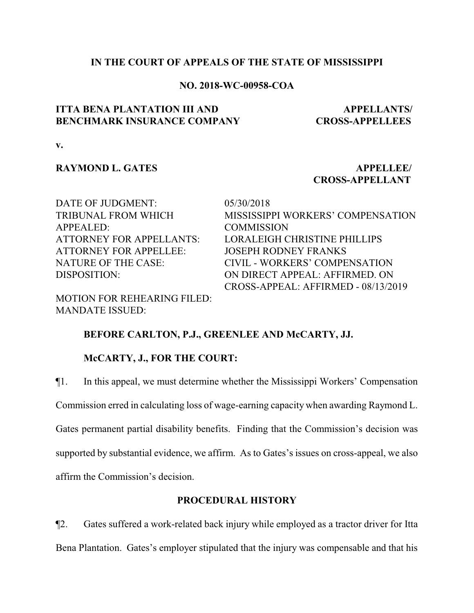## **IN THE COURT OF APPEALS OF THE STATE OF MISSISSIPPI**

## **NO. 2018-WC-00958-COA**

# **ITTA BENA PLANTATION III AND BENCHMARK INSURANCE COMPANY**

 **APPELLANTS/ CROSS-APPELLEES**

**v.**

# **RAYMOND L. GATES APPELLEE**/

# **CROSS-APPELLANT**

DATE OF JUDGMENT: 05/30/2018 TRIBUNAL FROM WHICH APPEALED: ATTORNEY FOR APPELLEE: JOSEPH RODNEY FRANKS

MOTION FOR REHEARING FILED: MANDATE ISSUED:

MISSISSIPPI WORKERS' COMPENSATION **COMMISSION** ATTORNEY FOR APPELLANTS: LORALEIGH CHRISTINE PHILLIPS NATURE OF THE CASE: CIVIL - WORKERS' COMPENSATION DISPOSITION: ON DIRECT APPEAL: AFFIRMED. ON CROSS-APPEAL: AFFIRMED - 08/13/2019

## **BEFORE CARLTON, P.J., GREENLEE AND McCARTY, JJ.**

# **McCARTY, J., FOR THE COURT:**

¶1. In this appeal, we must determine whether the Mississippi Workers' Compensation Commission erred in calculating loss of wage-earning capacity when awarding Raymond L. Gates permanent partial disability benefits. Finding that the Commission's decision was supported by substantial evidence, we affirm. As to Gates's issues on cross-appeal, we also affirm the Commission's decision.

## **PROCEDURAL HISTORY**

¶2. Gates suffered a work-related back injury while employed as a tractor driver for Itta Bena Plantation. Gates's employer stipulated that the injury was compensable and that his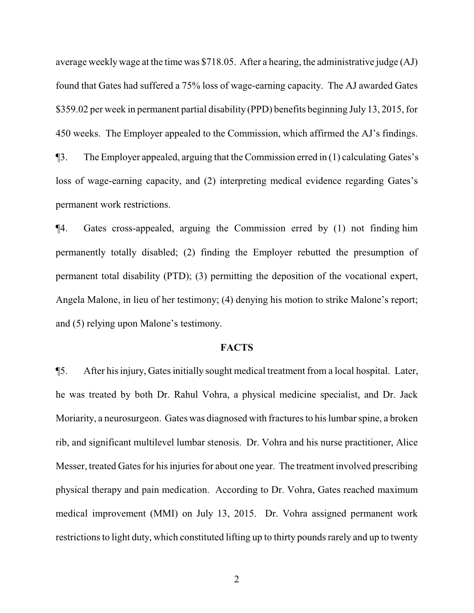average weeklywage at the time was \$718.05. After a hearing, the administrative judge (AJ) found that Gates had suffered a 75% loss of wage-earning capacity. The AJ awarded Gates \$359.02 per week in permanent partial disability (PPD) benefits beginning July 13, 2015, for 450 weeks. The Employer appealed to the Commission, which affirmed the AJ's findings. ¶3. The Employer appealed, arguing that the Commission erred in (1) calculating Gates's loss of wage-earning capacity, and (2) interpreting medical evidence regarding Gates's permanent work restrictions.

¶4. Gates cross-appealed, arguing the Commission erred by (1) not finding him permanently totally disabled; (2) finding the Employer rebutted the presumption of permanent total disability (PTD); (3) permitting the deposition of the vocational expert, Angela Malone, in lieu of her testimony; (4) denying his motion to strike Malone's report; and (5) relying upon Malone's testimony.

## **FACTS**

¶5. After his injury, Gates initially sought medical treatment from a local hospital. Later, he was treated by both Dr. Rahul Vohra, a physical medicine specialist, and Dr. Jack Moriarity, a neurosurgeon. Gates was diagnosed with fractures to his lumbar spine, a broken rib, and significant multilevel lumbar stenosis. Dr. Vohra and his nurse practitioner, Alice Messer, treated Gates for his injuries for about one year. The treatment involved prescribing physical therapy and pain medication. According to Dr. Vohra, Gates reached maximum medical improvement (MMI) on July 13, 2015. Dr. Vohra assigned permanent work restrictions to light duty, which constituted lifting up to thirty pounds rarely and up to twenty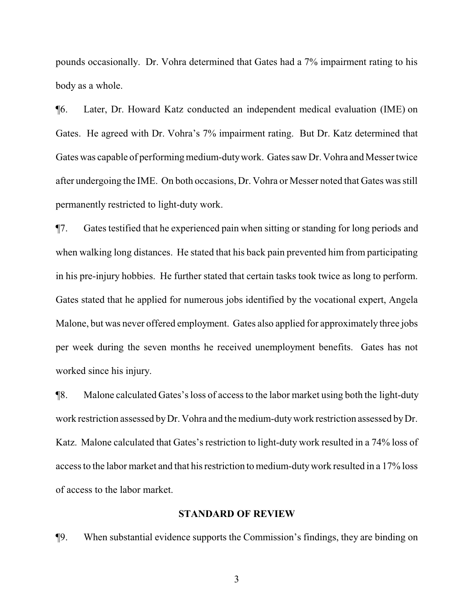pounds occasionally. Dr. Vohra determined that Gates had a 7% impairment rating to his body as a whole.

¶6. Later, Dr. Howard Katz conducted an independent medical evaluation (IME) on Gates. He agreed with Dr. Vohra's 7% impairment rating. But Dr. Katz determined that Gates was capable of performing medium-dutywork. Gates saw Dr. Vohra and Messer twice after undergoing the IME. On both occasions, Dr. Vohra or Messer noted that Gates was still permanently restricted to light-duty work.

¶7. Gates testified that he experienced pain when sitting or standing for long periods and when walking long distances. He stated that his back pain prevented him from participating in his pre-injury hobbies. He further stated that certain tasks took twice as long to perform. Gates stated that he applied for numerous jobs identified by the vocational expert, Angela Malone, but was never offered employment. Gates also applied for approximately three jobs per week during the seven months he received unemployment benefits. Gates has not worked since his injury.

¶8. Malone calculated Gates's loss of access to the labor market using both the light-duty work restriction assessed byDr. Vohra and the medium-dutywork restriction assessed byDr. Katz. Malone calculated that Gates's restriction to light-duty work resulted in a 74% loss of access to the labor market and that his restriction to medium-dutywork resulted in a 17% loss of access to the labor market.

## **STANDARD OF REVIEW**

¶9. When substantial evidence supports the Commission's findings, they are binding on

3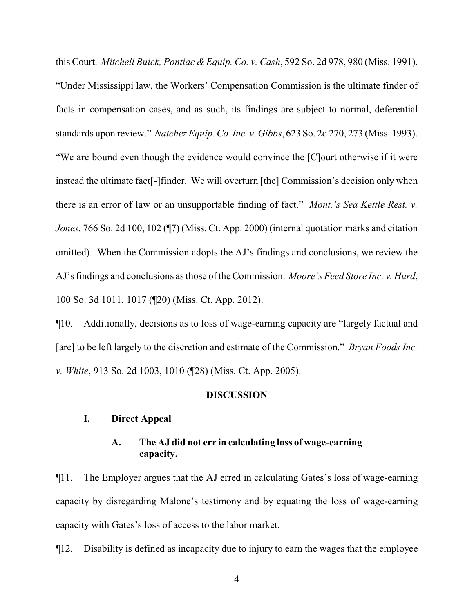this Court. *Mitchell Buick, Pontiac & Equip. Co. v. Cash*, 592 So. 2d 978, 980 (Miss. 1991). "Under Mississippi law, the Workers' Compensation Commission is the ultimate finder of facts in compensation cases, and as such, its findings are subject to normal, deferential standards upon review." *Natchez Equip. Co. Inc. v. Gibbs*, 623 So. 2d 270, 273 (Miss. 1993). "We are bound even though the evidence would convince the [C]ourt otherwise if it were instead the ultimate fact[-]finder. We will overturn [the] Commission's decision only when there is an error of law or an unsupportable finding of fact." *Mont.'s Sea Kettle Rest. v. Jones*, 766 So. 2d 100, 102 (¶7) (Miss. Ct. App. 2000) (internal quotation marks and citation omitted). When the Commission adopts the AJ's findings and conclusions, we review the AJ's findings and conclusions as those of the Commission. *Moore's Feed Store Inc. v. Hurd*, 100 So. 3d 1011, 1017 (¶20) (Miss. Ct. App. 2012).

¶10. Additionally, decisions as to loss of wage-earning capacity are "largely factual and [are] to be left largely to the discretion and estimate of the Commission." *Bryan Foods Inc. v. White*, 913 So. 2d 1003, 1010 (¶28) (Miss. Ct. App. 2005).

#### **DISCUSSION**

# **I. Direct Appeal**

# **A. The AJ did not err in calculating loss of wage-earning capacity.**

¶11. The Employer argues that the AJ erred in calculating Gates's loss of wage-earning capacity by disregarding Malone's testimony and by equating the loss of wage-earning capacity with Gates's loss of access to the labor market.

¶12. Disability is defined as incapacity due to injury to earn the wages that the employee

4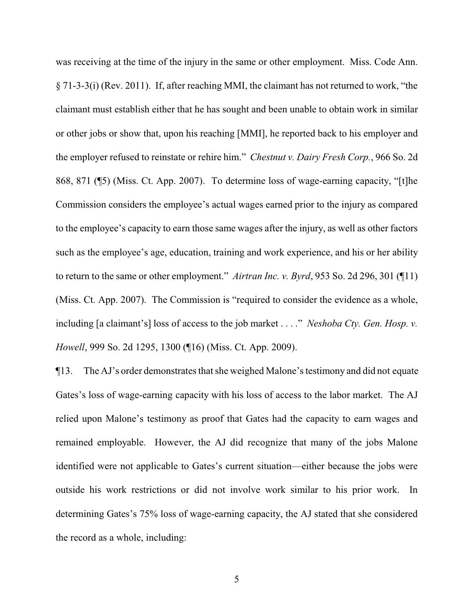was receiving at the time of the injury in the same or other employment. Miss. Code Ann. § 71-3-3(i) (Rev. 2011). If, after reaching MMI, the claimant has not returned to work, "the claimant must establish either that he has sought and been unable to obtain work in similar or other jobs or show that, upon his reaching [MMI], he reported back to his employer and the employer refused to reinstate or rehire him." *Chestnut v. Dairy Fresh Corp.*, 966 So. 2d 868, 871 (¶5) (Miss. Ct. App. 2007). To determine loss of wage-earning capacity, "[t]he Commission considers the employee's actual wages earned prior to the injury as compared to the employee's capacity to earn those same wages after the injury, as well as other factors such as the employee's age, education, training and work experience, and his or her ability to return to the same or other employment." *Airtran Inc. v. Byrd*, 953 So. 2d 296, 301 (¶11) (Miss. Ct. App. 2007). The Commission is "required to consider the evidence as a whole, including [a claimant's] loss of access to the job market . . . ." *Neshoba Cty. Gen. Hosp. v. Howell*, 999 So. 2d 1295, 1300 (¶16) (Miss. Ct. App. 2009).

¶13. The AJ's order demonstrates that she weighed Malone's testimony and did not equate Gates's loss of wage-earning capacity with his loss of access to the labor market. The AJ relied upon Malone's testimony as proof that Gates had the capacity to earn wages and remained employable. However, the AJ did recognize that many of the jobs Malone identified were not applicable to Gates's current situation—either because the jobs were outside his work restrictions or did not involve work similar to his prior work. In determining Gates's 75% loss of wage-earning capacity, the AJ stated that she considered the record as a whole, including: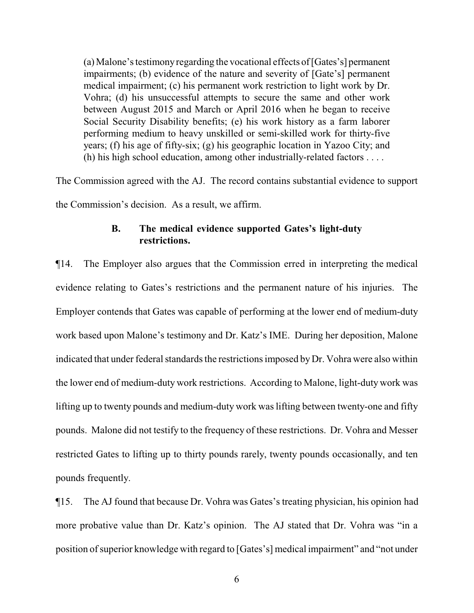(a)Malone's testimonyregarding the vocational effects of [Gates's] permanent impairments; (b) evidence of the nature and severity of [Gate's] permanent medical impairment; (c) his permanent work restriction to light work by Dr. Vohra; (d) his unsuccessful attempts to secure the same and other work between August 2015 and March or April 2016 when he began to receive Social Security Disability benefits; (e) his work history as a farm laborer performing medium to heavy unskilled or semi-skilled work for thirty-five years; (f) his age of fifty-six; (g) his geographic location in Yazoo City; and (h) his high school education, among other industrially-related factors . . . .

The Commission agreed with the AJ. The record contains substantial evidence to support the Commission's decision. As a result, we affirm.

# **B. The medical evidence supported Gates's light-duty restrictions.**

¶14. The Employer also argues that the Commission erred in interpreting the medical evidence relating to Gates's restrictions and the permanent nature of his injuries. The Employer contends that Gates was capable of performing at the lower end of medium-duty work based upon Malone's testimony and Dr. Katz's IME. During her deposition, Malone indicated that under federal standards the restrictions imposed byDr. Vohra were also within the lower end of medium-duty work restrictions. According to Malone, light-duty work was lifting up to twenty pounds and medium-duty work was lifting between twenty-one and fifty pounds. Malone did not testify to the frequency of these restrictions. Dr. Vohra and Messer restricted Gates to lifting up to thirty pounds rarely, twenty pounds occasionally, and ten pounds frequently.

¶15. The AJ found that because Dr. Vohra was Gates's treating physician, his opinion had more probative value than Dr. Katz's opinion. The AJ stated that Dr. Vohra was "in a position of superior knowledge with regard to [Gates's] medical impairment" and "not under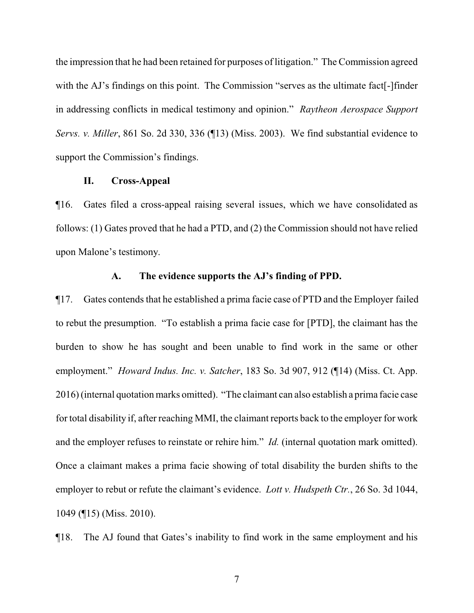the impression that he had been retained for purposes of litigation." The Commission agreed with the AJ's findings on this point. The Commission "serves as the ultimate fact[-]finder in addressing conflicts in medical testimony and opinion." *Raytheon Aerospace Support Servs. v. Miller*, 861 So. 2d 330, 336 (¶13) (Miss. 2003). We find substantial evidence to support the Commission's findings.

## **II. Cross-Appeal**

¶16. Gates filed a cross-appeal raising several issues, which we have consolidated as follows: (1) Gates proved that he had a PTD, and (2) the Commission should not have relied upon Malone's testimony.

#### **A. The evidence supports the AJ's finding of PPD.**

¶17. Gates contends that he established a prima facie case of PTD and the Employer failed to rebut the presumption. "To establish a prima facie case for [PTD], the claimant has the burden to show he has sought and been unable to find work in the same or other employment." *Howard Indus. Inc. v. Satcher*, 183 So. 3d 907, 912 (¶14) (Miss. Ct. App. 2016) (internal quotation marks omitted). "The claimant can also establish a prima facie case for total disability if, after reaching MMI, the claimant reports back to the employer for work and the employer refuses to reinstate or rehire him." *Id.* (internal quotation mark omitted). Once a claimant makes a prima facie showing of total disability the burden shifts to the employer to rebut or refute the claimant's evidence. *Lott v. Hudspeth Ctr.*, 26 So. 3d 1044, 1049 (¶15) (Miss. 2010).

¶18. The AJ found that Gates's inability to find work in the same employment and his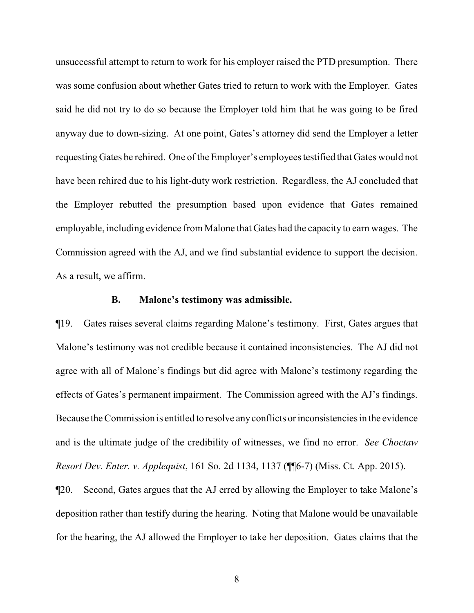unsuccessful attempt to return to work for his employer raised the PTD presumption. There was some confusion about whether Gates tried to return to work with the Employer. Gates said he did not try to do so because the Employer told him that he was going to be fired anyway due to down-sizing. At one point, Gates's attorney did send the Employer a letter requesting Gates be rehired. One of the Employer's employees testified that Gates would not have been rehired due to his light-duty work restriction. Regardless, the AJ concluded that the Employer rebutted the presumption based upon evidence that Gates remained employable, including evidence from Malone that Gates had the capacity to earn wages. The Commission agreed with the AJ, and we find substantial evidence to support the decision. As a result, we affirm.

### **B. Malone's testimony was admissible.**

¶19. Gates raises several claims regarding Malone's testimony. First, Gates argues that Malone's testimony was not credible because it contained inconsistencies. The AJ did not agree with all of Malone's findings but did agree with Malone's testimony regarding the effects of Gates's permanent impairment. The Commission agreed with the AJ's findings. Because the Commission is entitled to resolve anyconflicts or inconsistencies in the evidence and is the ultimate judge of the credibility of witnesses, we find no error. *See Choctaw Resort Dev. Enter. v. Applequist*, 161 So. 2d 1134, 1137 (¶¶6-7) (Miss. Ct. App. 2015).

¶20. Second, Gates argues that the AJ erred by allowing the Employer to take Malone's deposition rather than testify during the hearing. Noting that Malone would be unavailable for the hearing, the AJ allowed the Employer to take her deposition. Gates claims that the